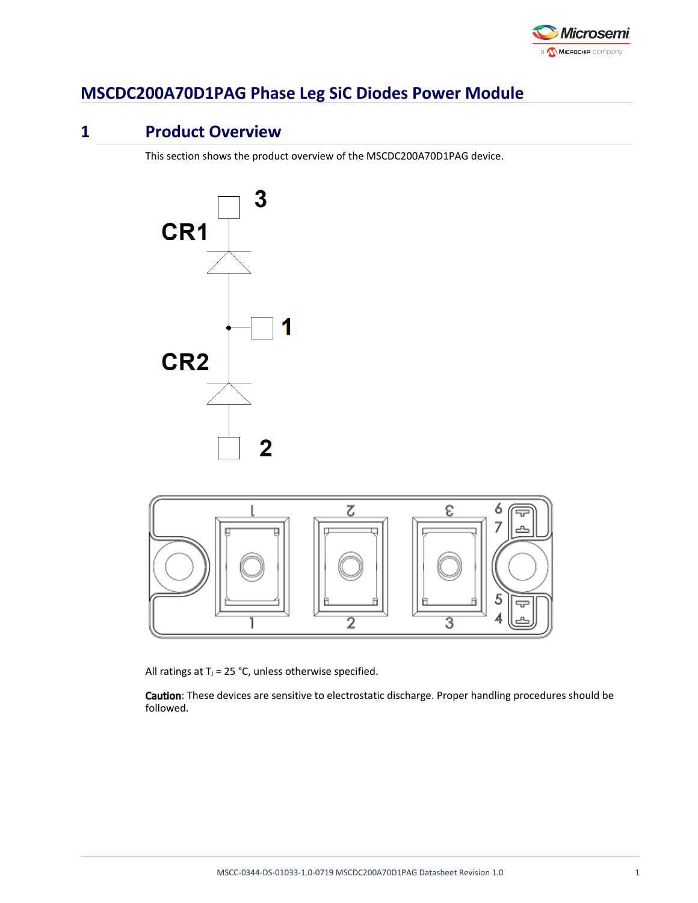

# **MSCDC200A70D1PAG Phase Leg SiC Diodes Power Module**

# **1 Product Overview**

This section shows the product overview of the MSCDC200A70D1PAG device.





All ratings at  $T_j = 25$  °C, unless otherwise specified.

Caution: These devices are sensitive to electrostatic discharge. Proper handling procedures should be followed.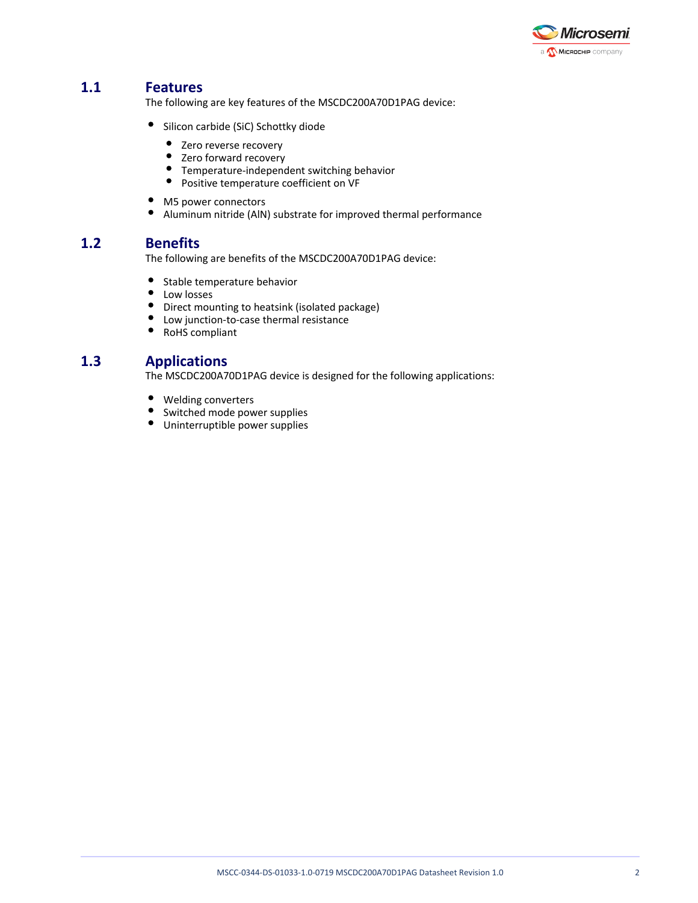

## **1.1 Features**

The following are key features of the MSCDC200A70D1PAG device:

- **•** Silicon carbide (SiC) Schottky diode
	- Zero reverse recovery
	- Zero forward recovery
	- Temperature-independent switching behavior
	- Positive temperature coefficient on VF
- M5 power connectors
- $\bullet$ Aluminum nitride (AlN) substrate for improved thermal performance

## **1.2 Benefits**

The following are benefits of the MSCDC200A70D1PAG device:

- $\bullet$ Stable temperature behavior
- $\bullet$ Low losses
- $\bullet$ Direct mounting to heatsink (isolated package)
- Low junction-to-case thermal resistance
- $\bullet$ RoHS compliant

### **1.3 Applications**

The MSCDC200A70D1PAG device is designed for the following applications:

- $\bullet$ Welding converters
- $\bullet$ Switched mode power supplies
- Uninterruptible power supplies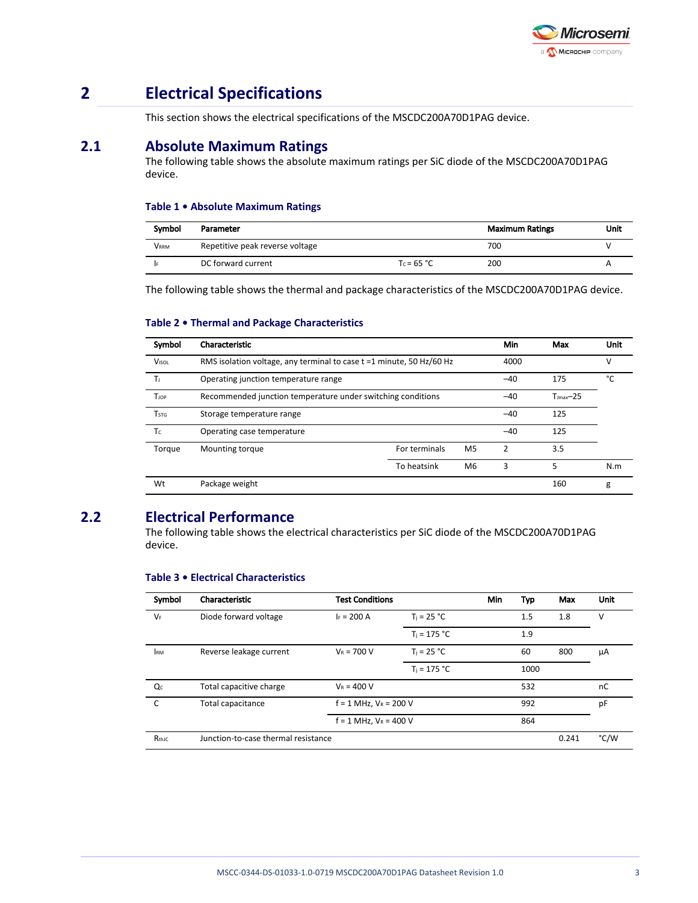

# **2 Electrical Specifications**

This section shows the electrical specifications of the MSCDC200A70D1PAG device.

## **2.1 Absolute Maximum Ratings**

The following table shows the absolute maximum ratings per SiC diode of the MSCDC200A70D1PAG device.

#### **Table 1 • Absolute Maximum Ratings**

| Symbol      | Parameter                       |               | <b>Maximum Ratings</b> | Unit |
|-------------|---------------------------------|---------------|------------------------|------|
| <b>VRRM</b> | Repetitive peak reverse voltage |               | 700                    |      |
|             | DC forward current              | $T_c = 65 °C$ | 200                    |      |

The following table shows the thermal and package characteristics of the MSCDC200A70D1PAG device.

#### **Table 2 • Thermal and Package Characteristics**

| Symbol       | Characteristic                                                       |               |                | Min   | Max                    | Unit |
|--------------|----------------------------------------------------------------------|---------------|----------------|-------|------------------------|------|
| <b>VISOL</b> | RMS isolation voltage, any terminal to case t =1 minute, 50 Hz/60 Hz |               |                | 4000  |                        | v    |
| Tı           | Operating junction temperature range                                 |               |                | $-40$ | 175                    | °C   |
| <b>T</b> JOP | Recommended junction temperature under switching conditions          |               |                | $-40$ | $T_{\text{imax}}$ - 25 |      |
| Tstg         | Storage temperature range                                            |               |                | $-40$ | 125                    |      |
| Tc           | Operating case temperature                                           |               |                | $-40$ | 125                    |      |
| Torque       | Mounting torque                                                      | For terminals | M <sub>5</sub> | 2     | 3.5                    |      |
|              |                                                                      | To heatsink   | M <sub>6</sub> | 3     | 5                      | N.m  |
| Wt           | Package weight                                                       |               |                |       | 160                    | g    |

## **2.2 Electrical Performance**

The following table shows the electrical characteristics per SiC diode of the MSCDC200A70D1PAG device.

| Symbol       | Characteristic           | <b>Test Conditions</b>              |                | Min | Typ  | Max   | Unit |
|--------------|--------------------------|-------------------------------------|----------------|-----|------|-------|------|
| $V_F$        | Diode forward voltage    | $I_F = 200 A$                       | $T_i = 25 °C$  |     | 1.5  | 1.8   | v    |
|              |                          |                                     | $T_i = 175 °C$ |     | 1.9  |       |      |
| <b>IRM</b>   | Reverse leakage current  | $V_R = 700 V$                       | $T_i = 25 °C$  |     | 60   | 800   | μA   |
|              |                          |                                     | $T_i = 175 °C$ |     | 1000 |       |      |
| Qc           | Total capacitive charge  | $V_R = 400 V$                       |                |     | 532  |       | nC   |
| $\mathsf{C}$ | <b>Total capacitance</b> | $f = 1$ MHz, $V_R = 200$ V          |                |     | 992  |       | pF   |
|              |                          | $f = 1$ MHz, $V_R = 400$ V          |                |     | 864  |       |      |
| RthJC        |                          | Junction-to-case thermal resistance |                |     |      | 0.241 | °C/W |

#### **Table 3 • Electrical Characteristics**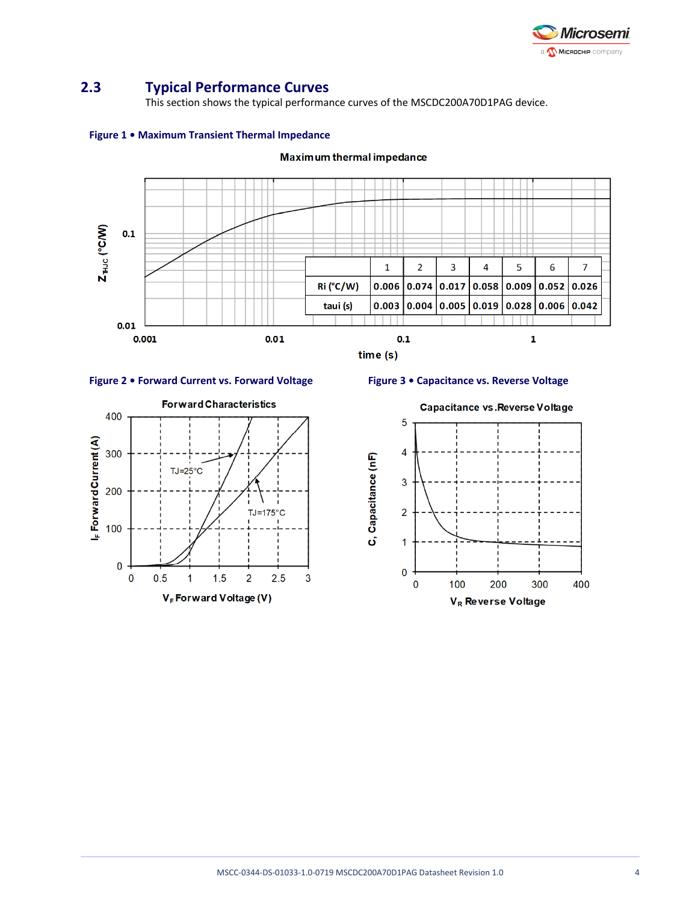

## **2.3 Typical Performance Curves**

This section shows the typical performance curves of the MSCDC200A70D1PAG device.

**Maximum thermal impedance** 



#### **Figure 1 • Maximum Transient Thermal Impedance**





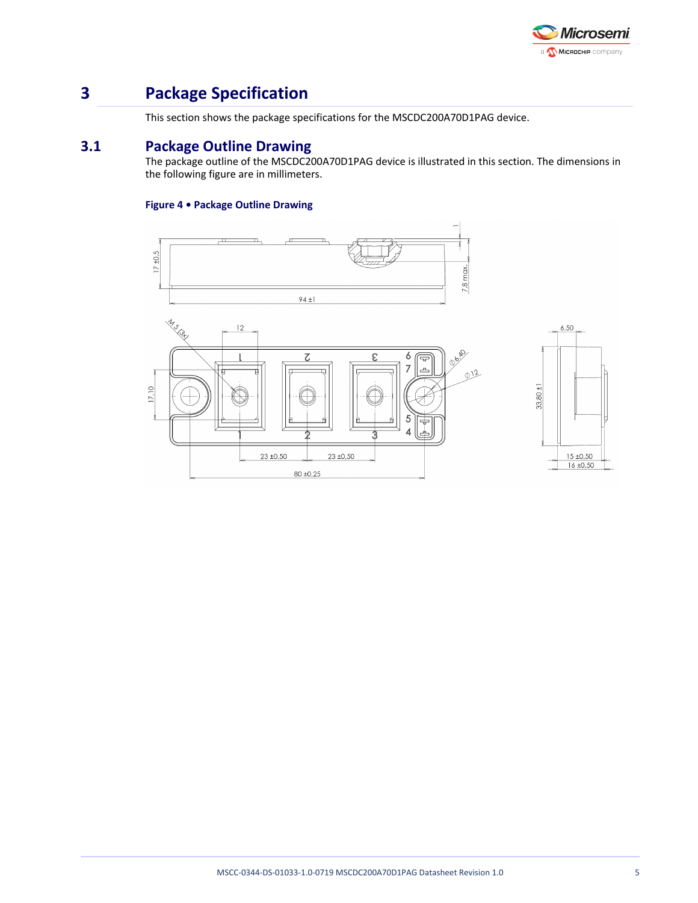

# **3 Package Specification**

This section shows the package specifications for the MSCDC200A70D1PAG device.

## **3.1 Package Outline Drawing**

The package outline of the MSCDC200A70D1PAG device is illustrated in this section. The dimensions in the following figure are in millimeters.

#### **Figure 4 • Package Outline Drawing**